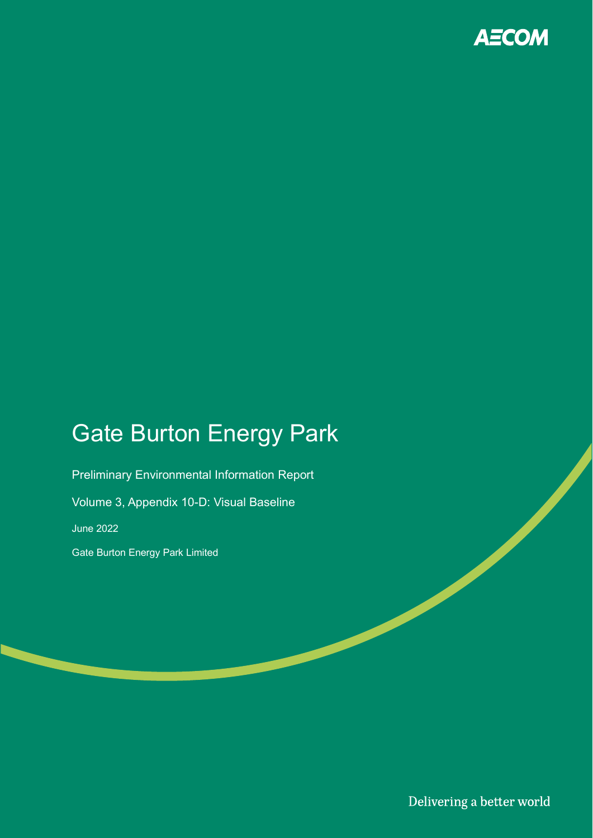

# Gate Burton Energy Park

Preliminary Environmental Information Report Volume 3, Appendix 10-D: Visual Baseline June 2022 Gate Burton Energy Park Limited

Delivering a better world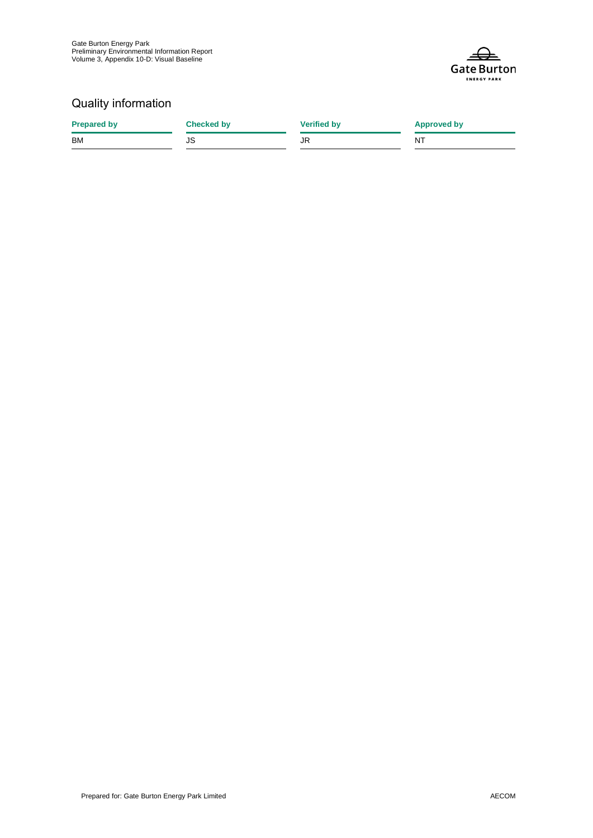

#### Quality information

| <b>Prepared by</b> | <b>Checked by</b> | <b>Verified by</b> | <b>Approved by</b> |
|--------------------|-------------------|--------------------|--------------------|
| <b>BM</b>          | JS                | JR                 | ΝT                 |
|                    |                   |                    |                    |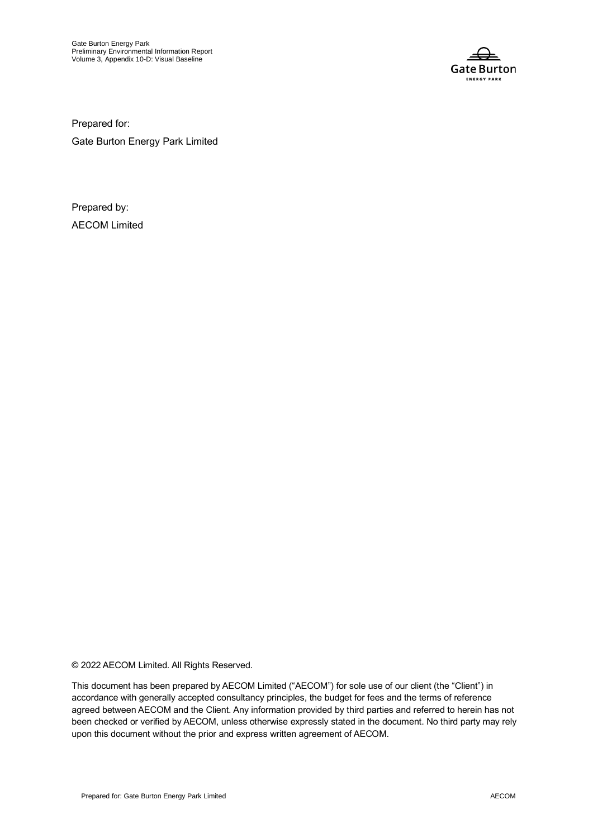

Prepared for:

Gate Burton Energy Park Limited

Prepared by: AECOM Limited

© 2022 AECOM Limited. All Rights Reserved.

This document has been prepared by AECOM Limited ("AECOM") for sole use of our client (the "Client") in accordance with generally accepted consultancy principles, the budget for fees and the terms of reference agreed between AECOM and the Client. Any information provided by third parties and referred to herein has not been checked or verified by AECOM, unless otherwise expressly stated in the document. No third party may rely upon this document without the prior and express written agreement of AECOM.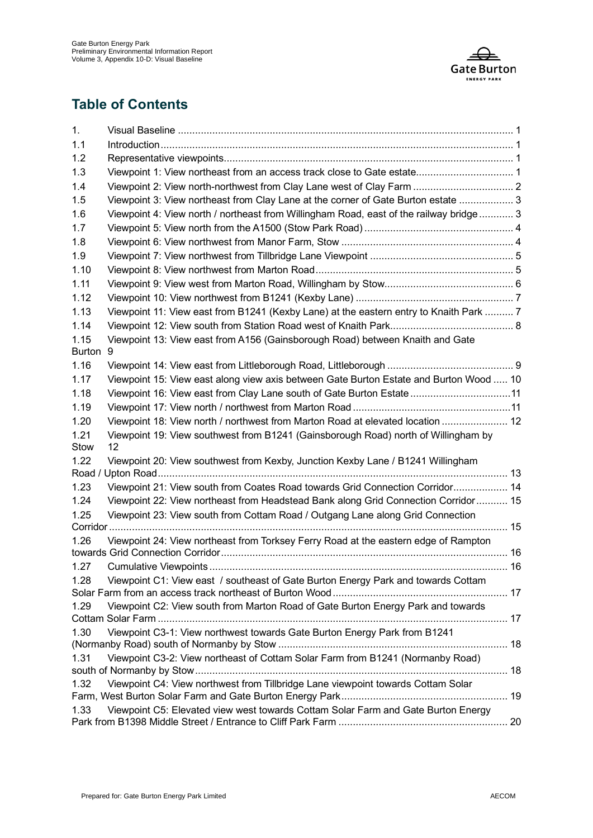

#### **Table of Contents**

| 1.            |                                                                                                         |  |
|---------------|---------------------------------------------------------------------------------------------------------|--|
| 1.1           |                                                                                                         |  |
| 1.2           |                                                                                                         |  |
| 1.3           | Viewpoint 1: View northeast from an access track close to Gate estate 1                                 |  |
| 1.4           | Viewpoint 2: View north-northwest from Clay Lane west of Clay Farm  2                                   |  |
| 1.5           | Viewpoint 3: View northeast from Clay Lane at the corner of Gate Burton estate  3                       |  |
| 1.6           | Viewpoint 4: View north / northeast from Willingham Road, east of the railway bridge  3                 |  |
| 1.7           |                                                                                                         |  |
| 1.8           |                                                                                                         |  |
| 1.9           |                                                                                                         |  |
| 1.10          |                                                                                                         |  |
| 1.11          |                                                                                                         |  |
| 1.12          |                                                                                                         |  |
| 1.13          | Viewpoint 11: View east from B1241 (Kexby Lane) at the eastern entry to Knaith Park  7                  |  |
| 1.14          |                                                                                                         |  |
| 1.15          | Viewpoint 13: View east from A156 (Gainsborough Road) between Knaith and Gate                           |  |
| <b>Burton</b> | 9                                                                                                       |  |
| 1.16          |                                                                                                         |  |
| 1.17          | Viewpoint 15: View east along view axis between Gate Burton Estate and Burton Wood  10                  |  |
| 1.18          | Viewpoint 16: View east from Clay Lane south of Gate Burton Estate  11                                  |  |
| 1.19          |                                                                                                         |  |
| 1.20          | Viewpoint 18: View north / northwest from Marton Road at elevated location  12                          |  |
| 1.21<br>Stow  | Viewpoint 19: View southwest from B1241 (Gainsborough Road) north of Willingham by<br>$12 \overline{ }$ |  |
| 1.22          | Viewpoint 20: View southwest from Kexby, Junction Kexby Lane / B1241 Willingham                         |  |
| 1.23          | Viewpoint 21: View south from Coates Road towards Grid Connection Corridor 14                           |  |
| 1.24          | Viewpoint 22: View northeast from Headstead Bank along Grid Connection Corridor 15                      |  |
| 1.25          | Viewpoint 23: View south from Cottam Road / Outgang Lane along Grid Connection                          |  |
|               |                                                                                                         |  |
| 1.26          | Viewpoint 24: View northeast from Torksey Ferry Road at the eastern edge of Rampton                     |  |
| 1.27          | 16<br><b>Cumulative Viewpoints</b>                                                                      |  |
| 1.28          | Viewpoint C1: View east / southeast of Gate Burton Energy Park and towards Cottam                       |  |
|               |                                                                                                         |  |
| 1.29          | Viewpoint C2: View south from Marton Road of Gate Burton Energy Park and towards                        |  |
| 1.30          | Viewpoint C3-1: View northwest towards Gate Burton Energy Park from B1241                               |  |
|               |                                                                                                         |  |
| 1.31          | Viewpoint C3-2: View northeast of Cottam Solar Farm from B1241 (Normanby Road)                          |  |
| 1.32          | Viewpoint C4: View northwest from Tillbridge Lane viewpoint towards Cottam Solar                        |  |
|               |                                                                                                         |  |
| 1.33          | Viewpoint C5: Elevated view west towards Cottam Solar Farm and Gate Burton Energy                       |  |
|               |                                                                                                         |  |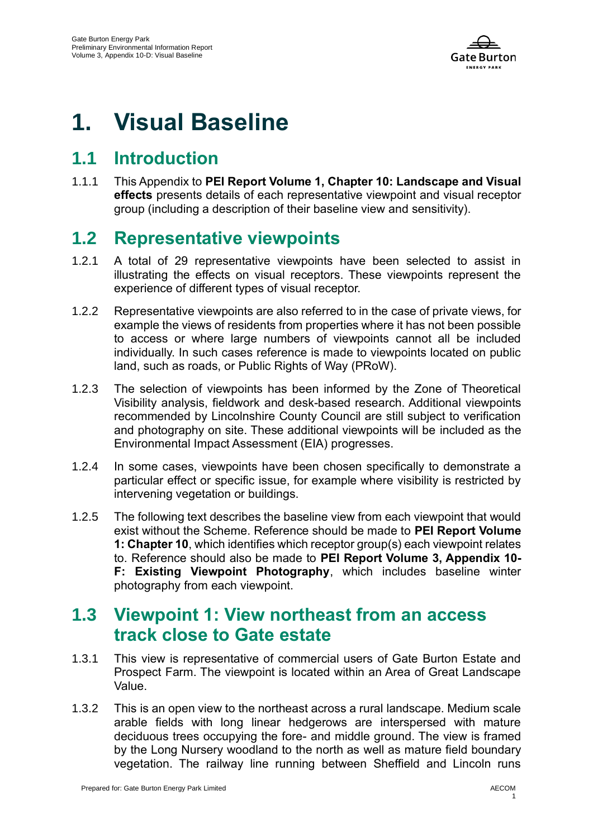

# **1. Visual Baseline**

### **1.1 Introduction**

1.1.1 This Appendix to **PEI Report Volume 1, Chapter 10: Landscape and Visual effects** presents details of each representative viewpoint and visual receptor group (including a description of their baseline view and sensitivity).

# **1.2 Representative viewpoints**

- 1.2.1 A total of 29 representative viewpoints have been selected to assist in illustrating the effects on visual receptors. These viewpoints represent the experience of different types of visual receptor.
- 1.2.2 Representative viewpoints are also referred to in the case of private views, for example the views of residents from properties where it has not been possible to access or where large numbers of viewpoints cannot all be included individually. In such cases reference is made to viewpoints located on public land, such as roads, or Public Rights of Way (PRoW).
- 1.2.3 The selection of viewpoints has been informed by the Zone of Theoretical Visibility analysis, fieldwork and desk-based research. Additional viewpoints recommended by Lincolnshire County Council are still subject to verification and photography on site. These additional viewpoints will be included as the Environmental Impact Assessment (EIA) progresses.
- 1.2.4 In some cases, viewpoints have been chosen specifically to demonstrate a particular effect or specific issue, for example where visibility is restricted by intervening vegetation or buildings.
- 1.2.5 The following text describes the baseline view from each viewpoint that would exist without the Scheme. Reference should be made to **PEI Report Volume 1: Chapter 10**, which identifies which receptor group(s) each viewpoint relates to. Reference should also be made to **PEI Report Volume 3, Appendix 10- F: Existing Viewpoint Photography**, which includes baseline winter photography from each viewpoint.

### **1.3 Viewpoint 1: View northeast from an access track close to Gate estate**

- 1.3.1 This view is representative of commercial users of Gate Burton Estate and Prospect Farm. The viewpoint is located within an Area of Great Landscape Value.
- 1.3.2 This is an open view to the northeast across a rural landscape. Medium scale arable fields with long linear hedgerows are interspersed with mature deciduous trees occupying the fore- and middle ground. The view is framed by the Long Nursery woodland to the north as well as mature field boundary vegetation. The railway line running between Sheffield and Lincoln runs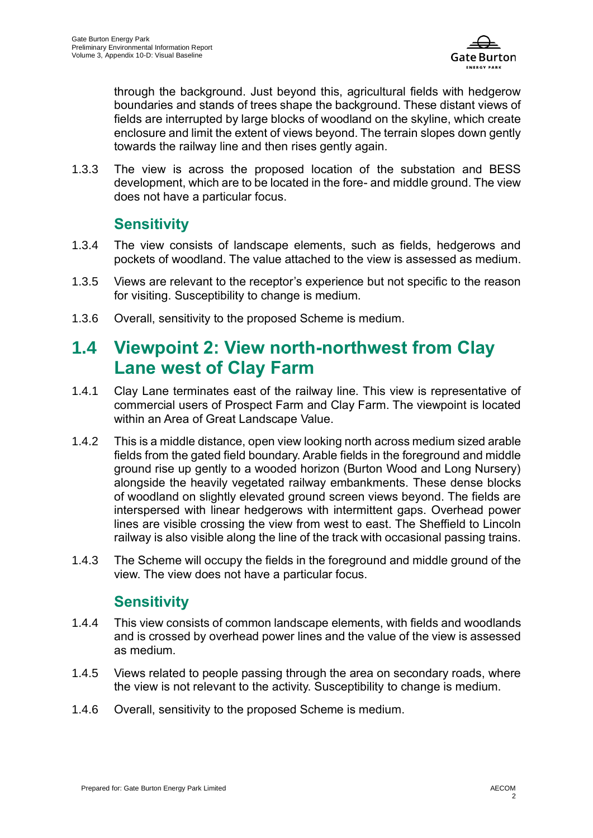

through the background. Just beyond this, agricultural fields with hedgerow boundaries and stands of trees shape the background. These distant views of fields are interrupted by large blocks of woodland on the skyline, which create enclosure and limit the extent of views beyond. The terrain slopes down gently towards the railway line and then rises gently again.

1.3.3 The view is across the proposed location of the substation and BESS development, which are to be located in the fore- and middle ground. The view does not have a particular focus.

#### **Sensitivity**

- 1.3.4 The view consists of landscape elements, such as fields, hedgerows and pockets of woodland. The value attached to the view is assessed as medium.
- 1.3.5 Views are relevant to the receptor's experience but not specific to the reason for visiting. Susceptibility to change is medium.
- 1.3.6 Overall, sensitivity to the proposed Scheme is medium.

# **1.4 Viewpoint 2: View north-northwest from Clay Lane west of Clay Farm**

- 1.4.1 Clay Lane terminates east of the railway line. This view is representative of commercial users of Prospect Farm and Clay Farm. The viewpoint is located within an Area of Great Landscape Value.
- 1.4.2 This is a middle distance, open view looking north across medium sized arable fields from the gated field boundary. Arable fields in the foreground and middle ground rise up gently to a wooded horizon (Burton Wood and Long Nursery) alongside the heavily vegetated railway embankments. These dense blocks of woodland on slightly elevated ground screen views beyond. The fields are interspersed with linear hedgerows with intermittent gaps. Overhead power lines are visible crossing the view from west to east. The Sheffield to Lincoln railway is also visible along the line of the track with occasional passing trains.
- 1.4.3 The Scheme will occupy the fields in the foreground and middle ground of the view. The view does not have a particular focus.

#### **Sensitivity**

- 1.4.4 This view consists of common landscape elements, with fields and woodlands and is crossed by overhead power lines and the value of the view is assessed as medium.
- 1.4.5 Views related to people passing through the area on secondary roads, where the view is not relevant to the activity. Susceptibility to change is medium.
- 1.4.6 Overall, sensitivity to the proposed Scheme is medium.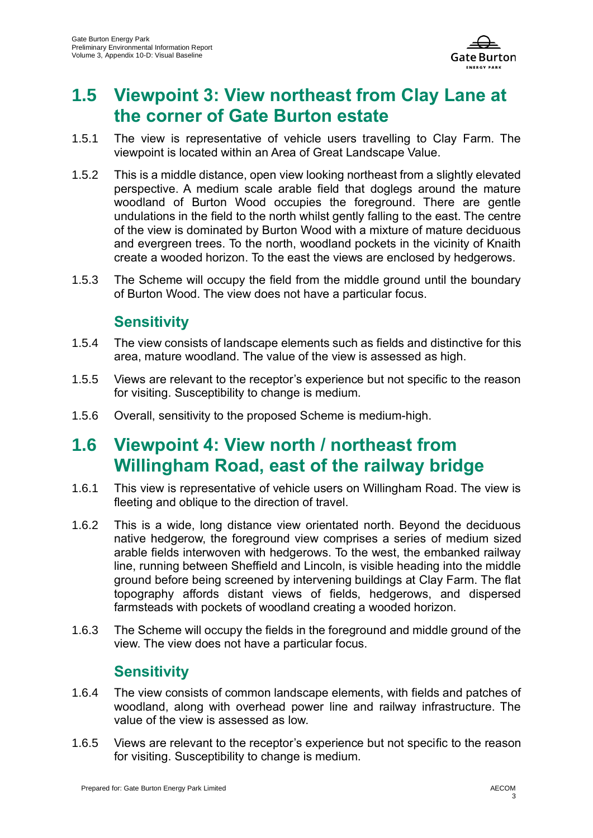

### **1.5 Viewpoint 3: View northeast from Clay Lane at the corner of Gate Burton estate**

- 1.5.1 The view is representative of vehicle users travelling to Clay Farm. The viewpoint is located within an Area of Great Landscape Value.
- 1.5.2 This is a middle distance, open view looking northeast from a slightly elevated perspective. A medium scale arable field that doglegs around the mature woodland of Burton Wood occupies the foreground. There are gentle undulations in the field to the north whilst gently falling to the east. The centre of the view is dominated by Burton Wood with a mixture of mature deciduous and evergreen trees. To the north, woodland pockets in the vicinity of Knaith create a wooded horizon. To the east the views are enclosed by hedgerows.
- 1.5.3 The Scheme will occupy the field from the middle ground until the boundary of Burton Wood. The view does not have a particular focus.

#### **Sensitivity**

- 1.5.4 The view consists of landscape elements such as fields and distinctive for this area, mature woodland. The value of the view is assessed as high.
- 1.5.5 Views are relevant to the receptor's experience but not specific to the reason for visiting. Susceptibility to change is medium.
- 1.5.6 Overall, sensitivity to the proposed Scheme is medium-high.

### **1.6 Viewpoint 4: View north / northeast from Willingham Road, east of the railway bridge**

- 1.6.1 This view is representative of vehicle users on Willingham Road. The view is fleeting and oblique to the direction of travel.
- 1.6.2 This is a wide, long distance view orientated north. Beyond the deciduous native hedgerow, the foreground view comprises a series of medium sized arable fields interwoven with hedgerows. To the west, the embanked railway line, running between Sheffield and Lincoln, is visible heading into the middle ground before being screened by intervening buildings at Clay Farm. The flat topography affords distant views of fields, hedgerows, and dispersed farmsteads with pockets of woodland creating a wooded horizon.
- 1.6.3 The Scheme will occupy the fields in the foreground and middle ground of the view. The view does not have a particular focus.

#### **Sensitivity**

- 1.6.4 The view consists of common landscape elements, with fields and patches of woodland, along with overhead power line and railway infrastructure. The value of the view is assessed as low.
- 1.6.5 Views are relevant to the receptor's experience but not specific to the reason for visiting. Susceptibility to change is medium.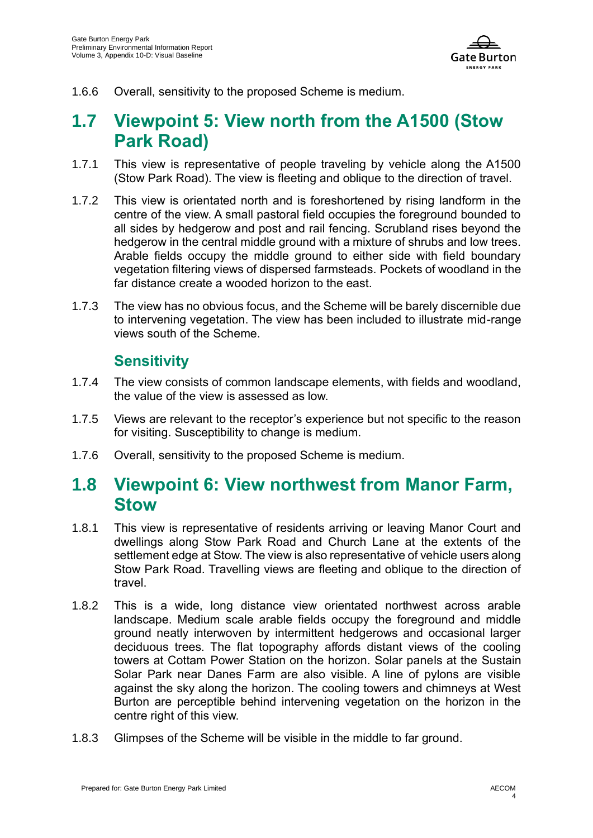

1.6.6 Overall, sensitivity to the proposed Scheme is medium.

# **1.7 Viewpoint 5: View north from the A1500 (Stow Park Road)**

- 1.7.1 This view is representative of people traveling by vehicle along the A1500 (Stow Park Road). The view is fleeting and oblique to the direction of travel.
- 1.7.2 This view is orientated north and is foreshortened by rising landform in the centre of the view. A small pastoral field occupies the foreground bounded to all sides by hedgerow and post and rail fencing. Scrubland rises beyond the hedgerow in the central middle ground with a mixture of shrubs and low trees. Arable fields occupy the middle ground to either side with field boundary vegetation filtering views of dispersed farmsteads. Pockets of woodland in the far distance create a wooded horizon to the east.
- 1.7.3 The view has no obvious focus, and the Scheme will be barely discernible due to intervening vegetation. The view has been included to illustrate mid-range views south of the Scheme.

#### **Sensitivity**

- 1.7.4 The view consists of common landscape elements, with fields and woodland, the value of the view is assessed as low.
- 1.7.5 Views are relevant to the receptor's experience but not specific to the reason for visiting. Susceptibility to change is medium.
- 1.7.6 Overall, sensitivity to the proposed Scheme is medium.

### **1.8 Viewpoint 6: View northwest from Manor Farm, Stow**

- 1.8.1 This view is representative of residents arriving or leaving Manor Court and dwellings along Stow Park Road and Church Lane at the extents of the settlement edge at Stow. The view is also representative of vehicle users along Stow Park Road. Travelling views are fleeting and oblique to the direction of travel.
- 1.8.2 This is a wide, long distance view orientated northwest across arable landscape. Medium scale arable fields occupy the foreground and middle ground neatly interwoven by intermittent hedgerows and occasional larger deciduous trees. The flat topography affords distant views of the cooling towers at Cottam Power Station on the horizon. Solar panels at the Sustain Solar Park near Danes Farm are also visible. A line of pylons are visible against the sky along the horizon. The cooling towers and chimneys at West Burton are perceptible behind intervening vegetation on the horizon in the centre right of this view.
- 1.8.3 Glimpses of the Scheme will be visible in the middle to far ground.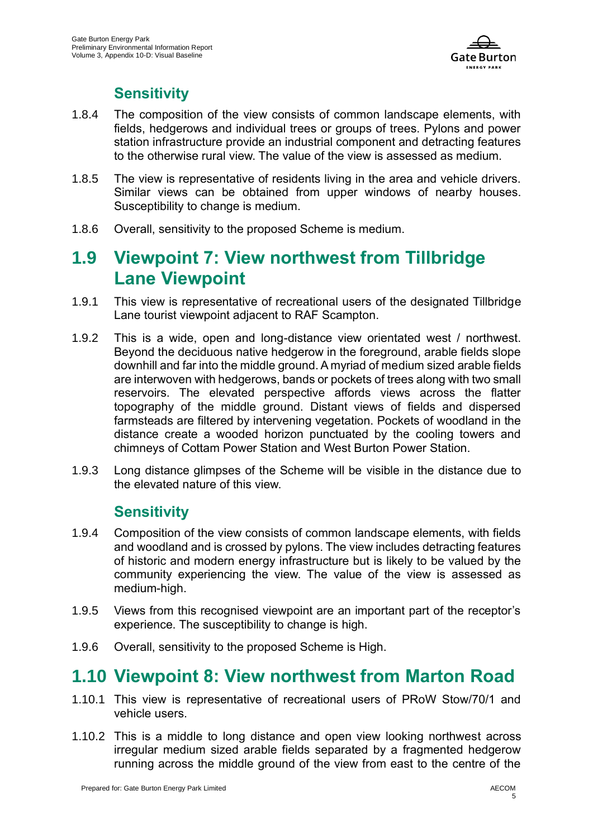

#### **Sensitivity**

- 1.8.4 The composition of the view consists of common landscape elements, with fields, hedgerows and individual trees or groups of trees. Pylons and power station infrastructure provide an industrial component and detracting features to the otherwise rural view. The value of the view is assessed as medium.
- 1.8.5 The view is representative of residents living in the area and vehicle drivers. Similar views can be obtained from upper windows of nearby houses. Susceptibility to change is medium.
- 1.8.6 Overall, sensitivity to the proposed Scheme is medium.

### **1.9 Viewpoint 7: View northwest from Tillbridge Lane Viewpoint**

- 1.9.1 This view is representative of recreational users of the designated Tillbridge Lane tourist viewpoint adjacent to RAF Scampton.
- 1.9.2 This is a wide, open and long-distance view orientated west / northwest. Beyond the deciduous native hedgerow in the foreground, arable fields slope downhill and far into the middle ground. A myriad of medium sized arable fields are interwoven with hedgerows, bands or pockets of trees along with two small reservoirs. The elevated perspective affords views across the flatter topography of the middle ground. Distant views of fields and dispersed farmsteads are filtered by intervening vegetation. Pockets of woodland in the distance create a wooded horizon punctuated by the cooling towers and chimneys of Cottam Power Station and West Burton Power Station.
- 1.9.3 Long distance glimpses of the Scheme will be visible in the distance due to the elevated nature of this view.

#### **Sensitivity**

- 1.9.4 Composition of the view consists of common landscape elements, with fields and woodland and is crossed by pylons. The view includes detracting features of historic and modern energy infrastructure but is likely to be valued by the community experiencing the view. The value of the view is assessed as medium-high.
- 1.9.5 Views from this recognised viewpoint are an important part of the receptor's experience. The susceptibility to change is high.
- 1.9.6 Overall, sensitivity to the proposed Scheme is High.

# **1.10 Viewpoint 8: View northwest from Marton Road**

- 1.10.1 This view is representative of recreational users of PRoW Stow/70/1 and vehicle users.
- 1.10.2 This is a middle to long distance and open view looking northwest across irregular medium sized arable fields separated by a fragmented hedgerow running across the middle ground of the view from east to the centre of the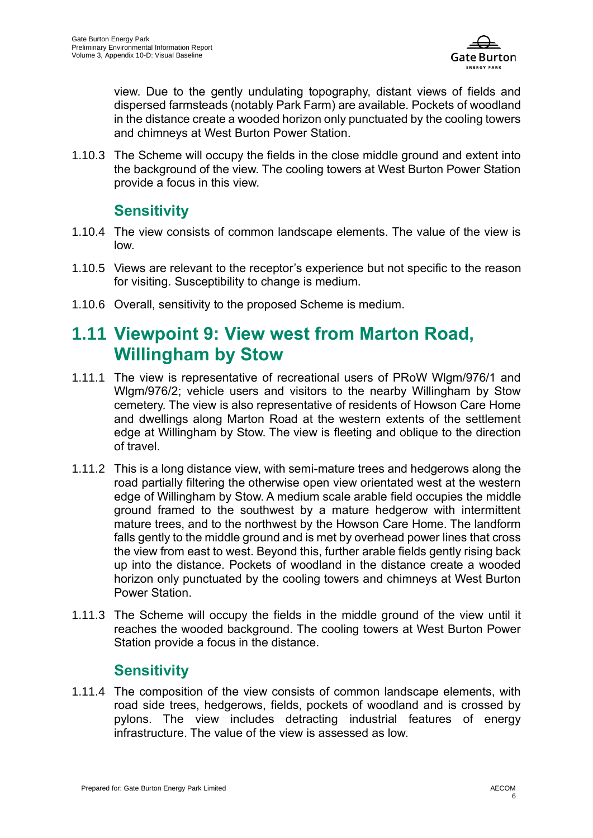

view. Due to the gently undulating topography, distant views of fields and dispersed farmsteads (notably Park Farm) are available. Pockets of woodland in the distance create a wooded horizon only punctuated by the cooling towers and chimneys at West Burton Power Station.

1.10.3 The Scheme will occupy the fields in the close middle ground and extent into the background of the view. The cooling towers at West Burton Power Station provide a focus in this view.

#### **Sensitivity**

- 1.10.4 The view consists of common landscape elements. The value of the view is low.
- 1.10.5 Views are relevant to the receptor's experience but not specific to the reason for visiting. Susceptibility to change is medium.
- 1.10.6 Overall, sensitivity to the proposed Scheme is medium.

### **1.11 Viewpoint 9: View west from Marton Road, Willingham by Stow**

- 1.11.1 The view is representative of recreational users of PRoW Wlgm/976/1 and Wlgm/976/2; vehicle users and visitors to the nearby Willingham by Stow cemetery. The view is also representative of residents of Howson Care Home and dwellings along Marton Road at the western extents of the settlement edge at Willingham by Stow. The view is fleeting and oblique to the direction of travel.
- 1.11.2 This is a long distance view, with semi-mature trees and hedgerows along the road partially filtering the otherwise open view orientated west at the western edge of Willingham by Stow. A medium scale arable field occupies the middle ground framed to the southwest by a mature hedgerow with intermittent mature trees, and to the northwest by the Howson Care Home. The landform falls gently to the middle ground and is met by overhead power lines that cross the view from east to west. Beyond this, further arable fields gently rising back up into the distance. Pockets of woodland in the distance create a wooded horizon only punctuated by the cooling towers and chimneys at West Burton Power Station.
- 1.11.3 The Scheme will occupy the fields in the middle ground of the view until it reaches the wooded background. The cooling towers at West Burton Power Station provide a focus in the distance.

#### **Sensitivity**

1.11.4 The composition of the view consists of common landscape elements, with road side trees, hedgerows, fields, pockets of woodland and is crossed by pylons. The view includes detracting industrial features of energy infrastructure. The value of the view is assessed as low.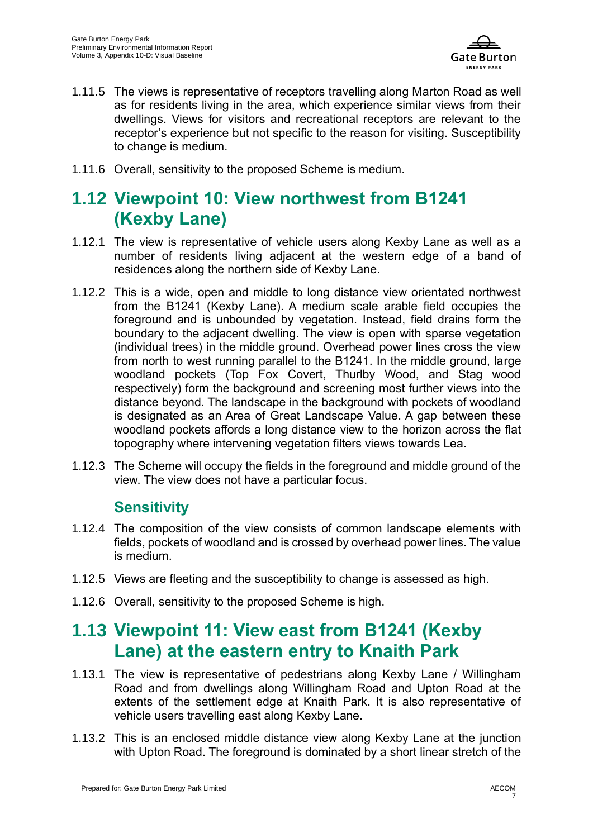

- 1.11.5 The views is representative of receptors travelling along Marton Road as well as for residents living in the area, which experience similar views from their dwellings. Views for visitors and recreational receptors are relevant to the receptor's experience but not specific to the reason for visiting. Susceptibility to change is medium.
- 1.11.6 Overall, sensitivity to the proposed Scheme is medium.

# **1.12 Viewpoint 10: View northwest from B1241 (Kexby Lane)**

- 1.12.1 The view is representative of vehicle users along Kexby Lane as well as a number of residents living adjacent at the western edge of a band of residences along the northern side of Kexby Lane.
- 1.12.2 This is a wide, open and middle to long distance view orientated northwest from the B1241 (Kexby Lane). A medium scale arable field occupies the foreground and is unbounded by vegetation. Instead, field drains form the boundary to the adjacent dwelling. The view is open with sparse vegetation (individual trees) in the middle ground. Overhead power lines cross the view from north to west running parallel to the B1241. In the middle ground, large woodland pockets (Top Fox Covert, Thurlby Wood, and Stag wood respectively) form the background and screening most further views into the distance beyond. The landscape in the background with pockets of woodland is designated as an Area of Great Landscape Value. A gap between these woodland pockets affords a long distance view to the horizon across the flat topography where intervening vegetation filters views towards Lea.
- 1.12.3 The Scheme will occupy the fields in the foreground and middle ground of the view. The view does not have a particular focus.

#### **Sensitivity**

- 1.12.4 The composition of the view consists of common landscape elements with fields, pockets of woodland and is crossed by overhead power lines. The value is medium.
- 1.12.5 Views are fleeting and the susceptibility to change is assessed as high.
- 1.12.6 Overall, sensitivity to the proposed Scheme is high.

# **1.13 Viewpoint 11: View east from B1241 (Kexby Lane) at the eastern entry to Knaith Park**

- 1.13.1 The view is representative of pedestrians along Kexby Lane / Willingham Road and from dwellings along Willingham Road and Upton Road at the extents of the settlement edge at Knaith Park. It is also representative of vehicle users travelling east along Kexby Lane.
- 1.13.2 This is an enclosed middle distance view along Kexby Lane at the junction with Upton Road. The foreground is dominated by a short linear stretch of the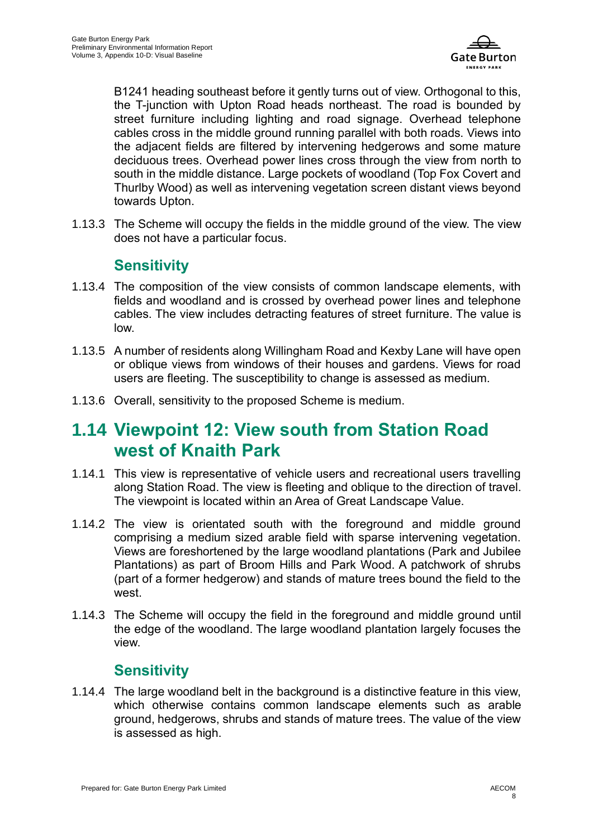

B1241 heading southeast before it gently turns out of view. Orthogonal to this, the T-junction with Upton Road heads northeast. The road is bounded by street furniture including lighting and road signage. Overhead telephone cables cross in the middle ground running parallel with both roads. Views into the adjacent fields are filtered by intervening hedgerows and some mature deciduous trees. Overhead power lines cross through the view from north to south in the middle distance. Large pockets of woodland (Top Fox Covert and Thurlby Wood) as well as intervening vegetation screen distant views beyond towards Upton.

1.13.3 The Scheme will occupy the fields in the middle ground of the view. The view does not have a particular focus.

#### **Sensitivity**

- 1.13.4 The composition of the view consists of common landscape elements, with fields and woodland and is crossed by overhead power lines and telephone cables. The view includes detracting features of street furniture. The value is low.
- 1.13.5 A number of residents along Willingham Road and Kexby Lane will have open or oblique views from windows of their houses and gardens. Views for road users are fleeting. The susceptibility to change is assessed as medium.
- 1.13.6 Overall, sensitivity to the proposed Scheme is medium.

### **1.14 Viewpoint 12: View south from Station Road west of Knaith Park**

- 1.14.1 This view is representative of vehicle users and recreational users travelling along Station Road. The view is fleeting and oblique to the direction of travel. The viewpoint is located within an Area of Great Landscape Value.
- 1.14.2 The view is orientated south with the foreground and middle ground comprising a medium sized arable field with sparse intervening vegetation. Views are foreshortened by the large woodland plantations (Park and Jubilee Plantations) as part of Broom Hills and Park Wood. A patchwork of shrubs (part of a former hedgerow) and stands of mature trees bound the field to the west.
- 1.14.3 The Scheme will occupy the field in the foreground and middle ground until the edge of the woodland. The large woodland plantation largely focuses the view.

#### **Sensitivity**

1.14.4 The large woodland belt in the background is a distinctive feature in this view, which otherwise contains common landscape elements such as arable ground, hedgerows, shrubs and stands of mature trees. The value of the view is assessed as high.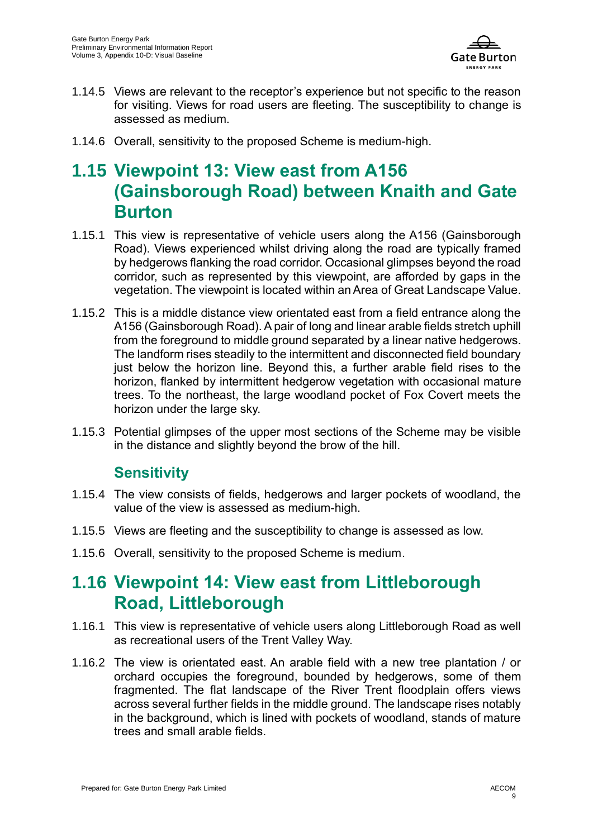

- 1.14.5 Views are relevant to the receptor's experience but not specific to the reason for visiting. Views for road users are fleeting. The susceptibility to change is assessed as medium.
- 1.14.6 Overall, sensitivity to the proposed Scheme is medium-high.

# **1.15 Viewpoint 13: View east from A156 (Gainsborough Road) between Knaith and Gate Burton**

- 1.15.1 This view is representative of vehicle users along the A156 (Gainsborough Road). Views experienced whilst driving along the road are typically framed by hedgerows flanking the road corridor. Occasional glimpses beyond the road corridor, such as represented by this viewpoint, are afforded by gaps in the vegetation. The viewpoint is located within an Area of Great Landscape Value.
- 1.15.2 This is a middle distance view orientated east from a field entrance along the A156 (Gainsborough Road). A pair of long and linear arable fields stretch uphill from the foreground to middle ground separated by a linear native hedgerows. The landform rises steadily to the intermittent and disconnected field boundary just below the horizon line. Beyond this, a further arable field rises to the horizon, flanked by intermittent hedgerow vegetation with occasional mature trees. To the northeast, the large woodland pocket of Fox Covert meets the horizon under the large sky.
- 1.15.3 Potential glimpses of the upper most sections of the Scheme may be visible in the distance and slightly beyond the brow of the hill.

#### **Sensitivity**

- 1.15.4 The view consists of fields, hedgerows and larger pockets of woodland, the value of the view is assessed as medium-high.
- 1.15.5 Views are fleeting and the susceptibility to change is assessed as low.
- 1.15.6 Overall, sensitivity to the proposed Scheme is medium.

# **1.16 Viewpoint 14: View east from Littleborough Road, Littleborough**

- 1.16.1 This view is representative of vehicle users along Littleborough Road as well as recreational users of the Trent Valley Way.
- 1.16.2 The view is orientated east. An arable field with a new tree plantation / or orchard occupies the foreground, bounded by hedgerows, some of them fragmented. The flat landscape of the River Trent floodplain offers views across several further fields in the middle ground. The landscape rises notably in the background, which is lined with pockets of woodland, stands of mature trees and small arable fields.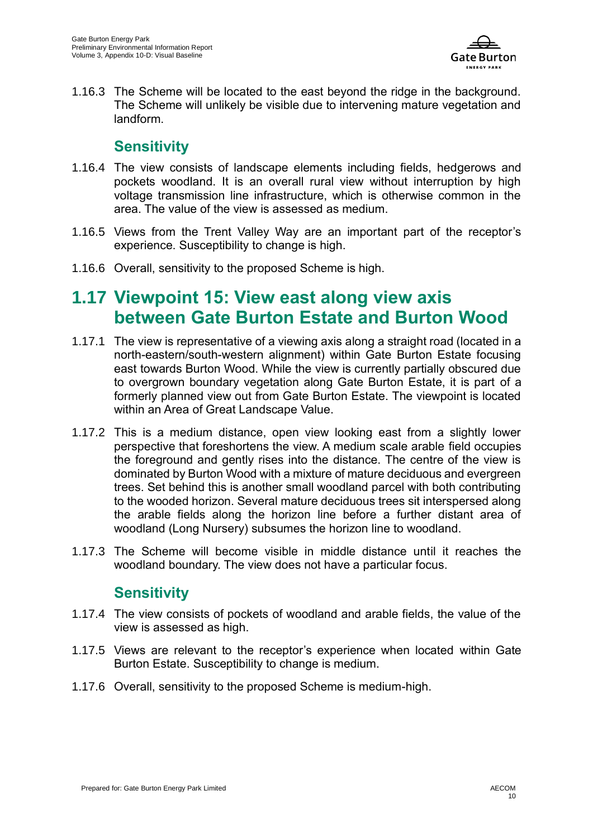

1.16.3 The Scheme will be located to the east beyond the ridge in the background. The Scheme will unlikely be visible due to intervening mature vegetation and landform.

#### **Sensitivity**

- 1.16.4 The view consists of landscape elements including fields, hedgerows and pockets woodland. It is an overall rural view without interruption by high voltage transmission line infrastructure, which is otherwise common in the area. The value of the view is assessed as medium.
- 1.16.5 Views from the Trent Valley Way are an important part of the receptor's experience. Susceptibility to change is high.
- 1.16.6 Overall, sensitivity to the proposed Scheme is high.

# **1.17 Viewpoint 15: View east along view axis between Gate Burton Estate and Burton Wood**

- 1.17.1 The view is representative of a viewing axis along a straight road (located in a north-eastern/south-western alignment) within Gate Burton Estate focusing east towards Burton Wood. While the view is currently partially obscured due to overgrown boundary vegetation along Gate Burton Estate, it is part of a formerly planned view out from Gate Burton Estate. The viewpoint is located within an Area of Great Landscape Value.
- 1.17.2 This is a medium distance, open view looking east from a slightly lower perspective that foreshortens the view. A medium scale arable field occupies the foreground and gently rises into the distance. The centre of the view is dominated by Burton Wood with a mixture of mature deciduous and evergreen trees. Set behind this is another small woodland parcel with both contributing to the wooded horizon. Several mature deciduous trees sit interspersed along the arable fields along the horizon line before a further distant area of woodland (Long Nursery) subsumes the horizon line to woodland.
- 1.17.3 The Scheme will become visible in middle distance until it reaches the woodland boundary. The view does not have a particular focus.

#### **Sensitivity**

- 1.17.4 The view consists of pockets of woodland and arable fields, the value of the view is assessed as high.
- 1.17.5 Views are relevant to the receptor's experience when located within Gate Burton Estate. Susceptibility to change is medium.
- 1.17.6 Overall, sensitivity to the proposed Scheme is medium-high.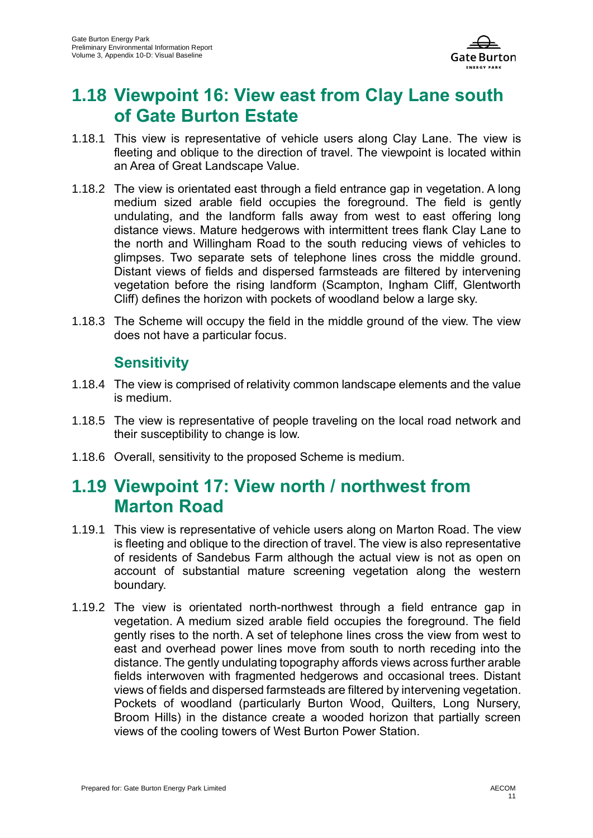

### **1.18 Viewpoint 16: View east from Clay Lane south of Gate Burton Estate**

- 1.18.1 This view is representative of vehicle users along Clay Lane. The view is fleeting and oblique to the direction of travel. The viewpoint is located within an Area of Great Landscape Value.
- 1.18.2 The view is orientated east through a field entrance gap in vegetation. A long medium sized arable field occupies the foreground. The field is gently undulating, and the landform falls away from west to east offering long distance views. Mature hedgerows with intermittent trees flank Clay Lane to the north and Willingham Road to the south reducing views of vehicles to glimpses. Two separate sets of telephone lines cross the middle ground. Distant views of fields and dispersed farmsteads are filtered by intervening vegetation before the rising landform (Scampton, Ingham Cliff, Glentworth Cliff) defines the horizon with pockets of woodland below a large sky.
- 1.18.3 The Scheme will occupy the field in the middle ground of the view. The view does not have a particular focus.

#### **Sensitivity**

- 1.18.4 The view is comprised of relativity common landscape elements and the value is medium.
- 1.18.5 The view is representative of people traveling on the local road network and their susceptibility to change is low.
- 1.18.6 Overall, sensitivity to the proposed Scheme is medium.

### **1.19 Viewpoint 17: View north / northwest from Marton Road**

- 1.19.1 This view is representative of vehicle users along on Marton Road. The view is fleeting and oblique to the direction of travel. The view is also representative of residents of Sandebus Farm although the actual view is not as open on account of substantial mature screening vegetation along the western boundary.
- 1.19.2 The view is orientated north-northwest through a field entrance gap in vegetation. A medium sized arable field occupies the foreground. The field gently rises to the north. A set of telephone lines cross the view from west to east and overhead power lines move from south to north receding into the distance. The gently undulating topography affords views across further arable fields interwoven with fragmented hedgerows and occasional trees. Distant views of fields and dispersed farmsteads are filtered by intervening vegetation. Pockets of woodland (particularly Burton Wood, Quilters, Long Nursery, Broom Hills) in the distance create a wooded horizon that partially screen views of the cooling towers of West Burton Power Station.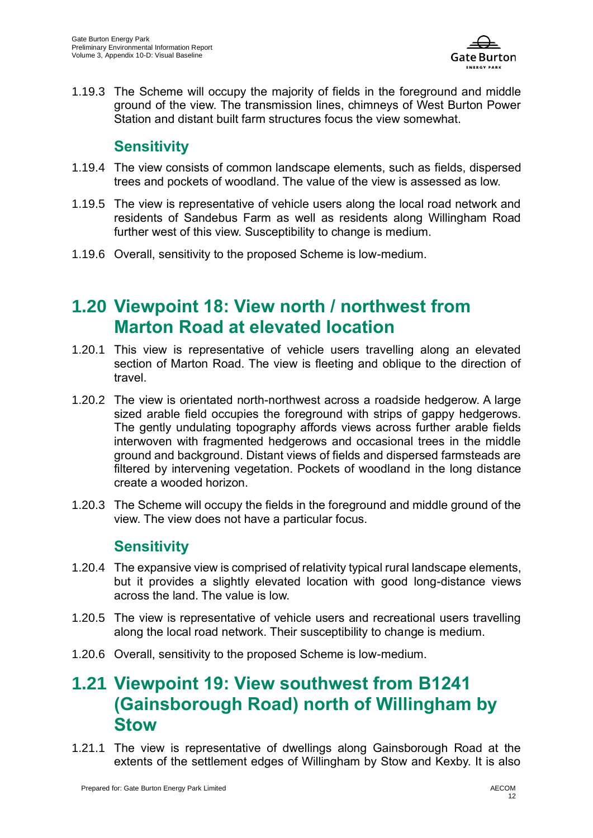

1.19.3 The Scheme will occupy the majority of fields in the foreground and middle ground of the view. The transmission lines, chimneys of West Burton Power Station and distant built farm structures focus the view somewhat.

#### **Sensitivity**

- 1.19.4 The view consists of common landscape elements, such as fields, dispersed trees and pockets of woodland. The value of the view is assessed as low.
- 1.19.5 The view is representative of vehicle users along the local road network and residents of Sandebus Farm as well as residents along Willingham Road further west of this view. Susceptibility to change is medium.
- 1.19.6 Overall, sensitivity to the proposed Scheme is low-medium.

# **1.20 Viewpoint 18: View north / northwest from Marton Road at elevated location**

- 1.20.1 This view is representative of vehicle users travelling along an elevated section of Marton Road. The view is fleeting and oblique to the direction of travel.
- 1.20.2 The view is orientated north-northwest across a roadside hedgerow. A large sized arable field occupies the foreground with strips of gappy hedgerows. The gently undulating topography affords views across further arable fields interwoven with fragmented hedgerows and occasional trees in the middle ground and background. Distant views of fields and dispersed farmsteads are filtered by intervening vegetation. Pockets of woodland in the long distance create a wooded horizon.
- 1.20.3 The Scheme will occupy the fields in the foreground and middle ground of the view. The view does not have a particular focus.

#### **Sensitivity**

- 1.20.4 The expansive view is comprised of relativity typical rural landscape elements, but it provides a slightly elevated location with good long-distance views across the land. The value is low.
- 1.20.5 The view is representative of vehicle users and recreational users travelling along the local road network. Their susceptibility to change is medium.
- 1.20.6 Overall, sensitivity to the proposed Scheme is low-medium.

## **1.21 Viewpoint 19: View southwest from B1241 (Gainsborough Road) north of Willingham by Stow**

1.21.1 The view is representative of dwellings along Gainsborough Road at the extents of the settlement edges of Willingham by Stow and Kexby. It is also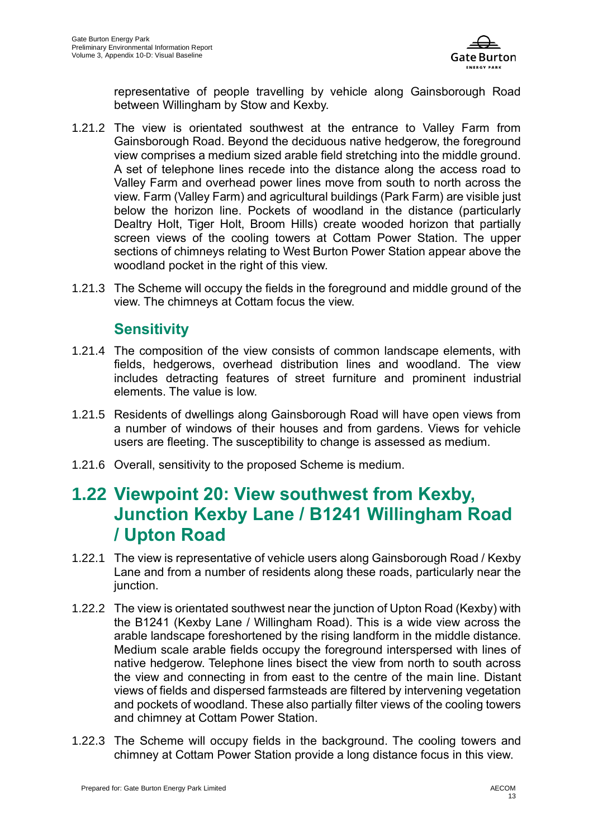

representative of people travelling by vehicle along Gainsborough Road between Willingham by Stow and Kexby.

- 1.21.2 The view is orientated southwest at the entrance to Valley Farm from Gainsborough Road. Beyond the deciduous native hedgerow, the foreground view comprises a medium sized arable field stretching into the middle ground. A set of telephone lines recede into the distance along the access road to Valley Farm and overhead power lines move from south to north across the view. Farm (Valley Farm) and agricultural buildings (Park Farm) are visible just below the horizon line. Pockets of woodland in the distance (particularly Dealtry Holt, Tiger Holt, Broom Hills) create wooded horizon that partially screen views of the cooling towers at Cottam Power Station. The upper sections of chimneys relating to West Burton Power Station appear above the woodland pocket in the right of this view.
- 1.21.3 The Scheme will occupy the fields in the foreground and middle ground of the view. The chimneys at Cottam focus the view.

#### **Sensitivity**

- 1.21.4 The composition of the view consists of common landscape elements, with fields, hedgerows, overhead distribution lines and woodland. The view includes detracting features of street furniture and prominent industrial elements. The value is low.
- 1.21.5 Residents of dwellings along Gainsborough Road will have open views from a number of windows of their houses and from gardens. Views for vehicle users are fleeting. The susceptibility to change is assessed as medium.
- 1.21.6 Overall, sensitivity to the proposed Scheme is medium.

### **1.22 Viewpoint 20: View southwest from Kexby, Junction Kexby Lane / B1241 Willingham Road / Upton Road**

- 1.22.1 The view is representative of vehicle users along Gainsborough Road / Kexby Lane and from a number of residents along these roads, particularly near the junction.
- 1.22.2 The view is orientated southwest near the junction of Upton Road (Kexby) with the B1241 (Kexby Lane / Willingham Road). This is a wide view across the arable landscape foreshortened by the rising landform in the middle distance. Medium scale arable fields occupy the foreground interspersed with lines of native hedgerow. Telephone lines bisect the view from north to south across the view and connecting in from east to the centre of the main line. Distant views of fields and dispersed farmsteads are filtered by intervening vegetation and pockets of woodland. These also partially filter views of the cooling towers and chimney at Cottam Power Station.
- 1.22.3 The Scheme will occupy fields in the background. The cooling towers and chimney at Cottam Power Station provide a long distance focus in this view.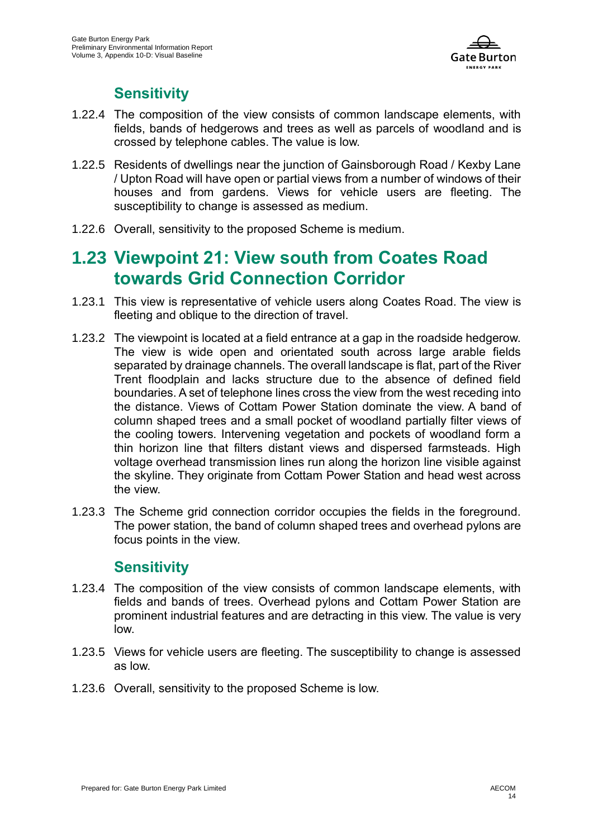

#### **Sensitivity**

- 1.22.4 The composition of the view consists of common landscape elements, with fields, bands of hedgerows and trees as well as parcels of woodland and is crossed by telephone cables. The value is low.
- 1.22.5 Residents of dwellings near the junction of Gainsborough Road / Kexby Lane / Upton Road will have open or partial views from a number of windows of their houses and from gardens. Views for vehicle users are fleeting. The susceptibility to change is assessed as medium.
- 1.22.6 Overall, sensitivity to the proposed Scheme is medium.

### **1.23 Viewpoint 21: View south from Coates Road towards Grid Connection Corridor**

- 1.23.1 This view is representative of vehicle users along Coates Road. The view is fleeting and oblique to the direction of travel.
- 1.23.2 The viewpoint is located at a field entrance at a gap in the roadside hedgerow. The view is wide open and orientated south across large arable fields separated by drainage channels. The overall landscape is flat, part of the River Trent floodplain and lacks structure due to the absence of defined field boundaries. A set of telephone lines cross the view from the west receding into the distance. Views of Cottam Power Station dominate the view. A band of column shaped trees and a small pocket of woodland partially filter views of the cooling towers. Intervening vegetation and pockets of woodland form a thin horizon line that filters distant views and dispersed farmsteads. High voltage overhead transmission lines run along the horizon line visible against the skyline. They originate from Cottam Power Station and head west across the view.
- 1.23.3 The Scheme grid connection corridor occupies the fields in the foreground. The power station, the band of column shaped trees and overhead pylons are focus points in the view.

#### **Sensitivity**

- 1.23.4 The composition of the view consists of common landscape elements, with fields and bands of trees. Overhead pylons and Cottam Power Station are prominent industrial features and are detracting in this view. The value is very low.
- 1.23.5 Views for vehicle users are fleeting. The susceptibility to change is assessed as low.
- 1.23.6 Overall, sensitivity to the proposed Scheme is low.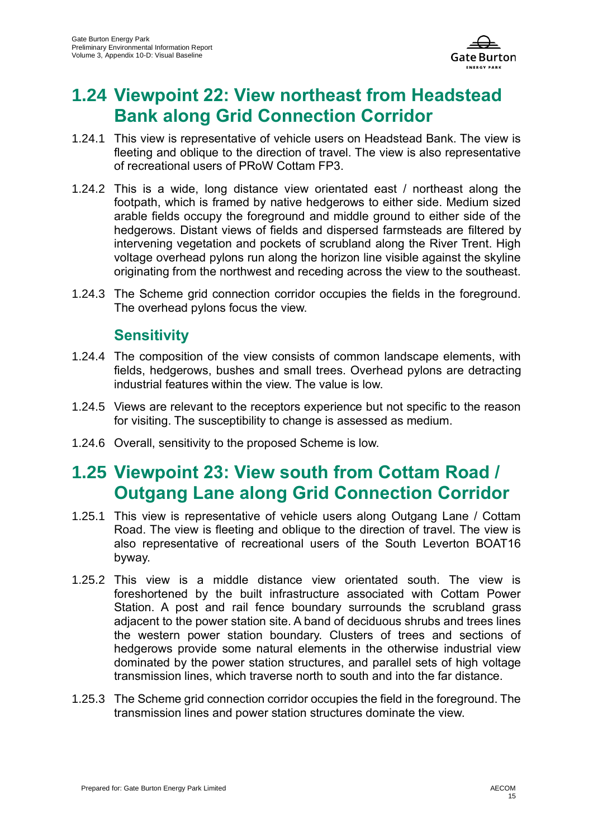

# **1.24 Viewpoint 22: View northeast from Headstead Bank along Grid Connection Corridor**

- 1.24.1 This view is representative of vehicle users on Headstead Bank. The view is fleeting and oblique to the direction of travel. The view is also representative of recreational users of PRoW Cottam FP3.
- 1.24.2 This is a wide, long distance view orientated east / northeast along the footpath, which is framed by native hedgerows to either side. Medium sized arable fields occupy the foreground and middle ground to either side of the hedgerows. Distant views of fields and dispersed farmsteads are filtered by intervening vegetation and pockets of scrubland along the River Trent. High voltage overhead pylons run along the horizon line visible against the skyline originating from the northwest and receding across the view to the southeast.
- 1.24.3 The Scheme grid connection corridor occupies the fields in the foreground. The overhead pylons focus the view.

#### **Sensitivity**

- 1.24.4 The composition of the view consists of common landscape elements, with fields, hedgerows, bushes and small trees. Overhead pylons are detracting industrial features within the view. The value is low.
- 1.24.5 Views are relevant to the receptors experience but not specific to the reason for visiting. The susceptibility to change is assessed as medium.
- 1.24.6 Overall, sensitivity to the proposed Scheme is low.

# **1.25 Viewpoint 23: View south from Cottam Road / Outgang Lane along Grid Connection Corridor**

- 1.25.1 This view is representative of vehicle users along Outgang Lane / Cottam Road. The view is fleeting and oblique to the direction of travel. The view is also representative of recreational users of the South Leverton BOAT16 byway.
- 1.25.2 This view is a middle distance view orientated south. The view is foreshortened by the built infrastructure associated with Cottam Power Station. A post and rail fence boundary surrounds the scrubland grass adjacent to the power station site. A band of deciduous shrubs and trees lines the western power station boundary. Clusters of trees and sections of hedgerows provide some natural elements in the otherwise industrial view dominated by the power station structures, and parallel sets of high voltage transmission lines, which traverse north to south and into the far distance.
- 1.25.3 The Scheme grid connection corridor occupies the field in the foreground. The transmission lines and power station structures dominate the view.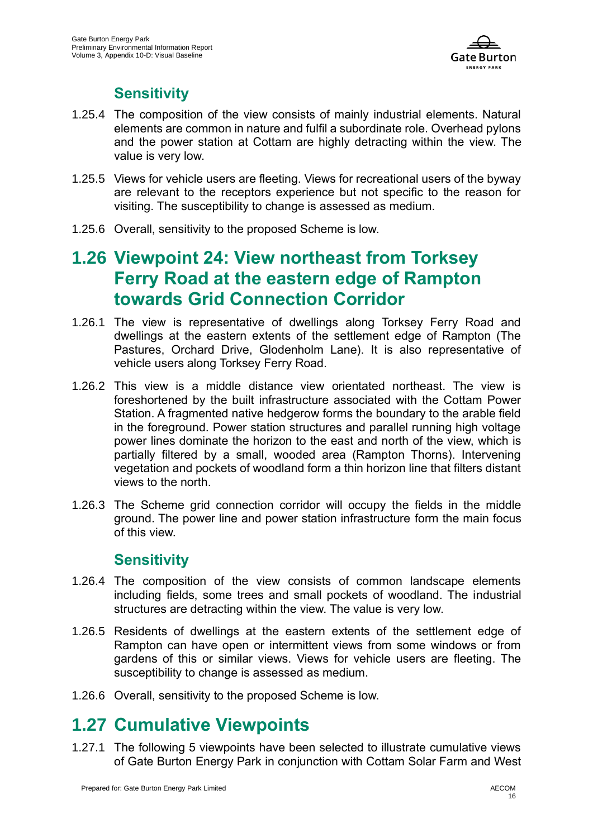

#### **Sensitivity**

- 1.25.4 The composition of the view consists of mainly industrial elements. Natural elements are common in nature and fulfil a subordinate role. Overhead pylons and the power station at Cottam are highly detracting within the view. The value is very low.
- 1.25.5 Views for vehicle users are fleeting. Views for recreational users of the byway are relevant to the receptors experience but not specific to the reason for visiting. The susceptibility to change is assessed as medium.
- 1.25.6 Overall, sensitivity to the proposed Scheme is low.

### **1.26 Viewpoint 24: View northeast from Torksey Ferry Road at the eastern edge of Rampton towards Grid Connection Corridor**

- 1.26.1 The view is representative of dwellings along Torksey Ferry Road and dwellings at the eastern extents of the settlement edge of Rampton (The Pastures, Orchard Drive, Glodenholm Lane). It is also representative of vehicle users along Torksey Ferry Road.
- 1.26.2 This view is a middle distance view orientated northeast. The view is foreshortened by the built infrastructure associated with the Cottam Power Station. A fragmented native hedgerow forms the boundary to the arable field in the foreground. Power station structures and parallel running high voltage power lines dominate the horizon to the east and north of the view, which is partially filtered by a small, wooded area (Rampton Thorns). Intervening vegetation and pockets of woodland form a thin horizon line that filters distant views to the north.
- 1.26.3 The Scheme grid connection corridor will occupy the fields in the middle ground. The power line and power station infrastructure form the main focus of this view.

#### **Sensitivity**

- 1.26.4 The composition of the view consists of common landscape elements including fields, some trees and small pockets of woodland. The industrial structures are detracting within the view. The value is very low.
- 1.26.5 Residents of dwellings at the eastern extents of the settlement edge of Rampton can have open or intermittent views from some windows or from gardens of this or similar views. Views for vehicle users are fleeting. The susceptibility to change is assessed as medium.
- 1.26.6 Overall, sensitivity to the proposed Scheme is low.

#### **1.27 Cumulative Viewpoints**

1.27.1 The following 5 viewpoints have been selected to illustrate cumulative views of Gate Burton Energy Park in conjunction with Cottam Solar Farm and West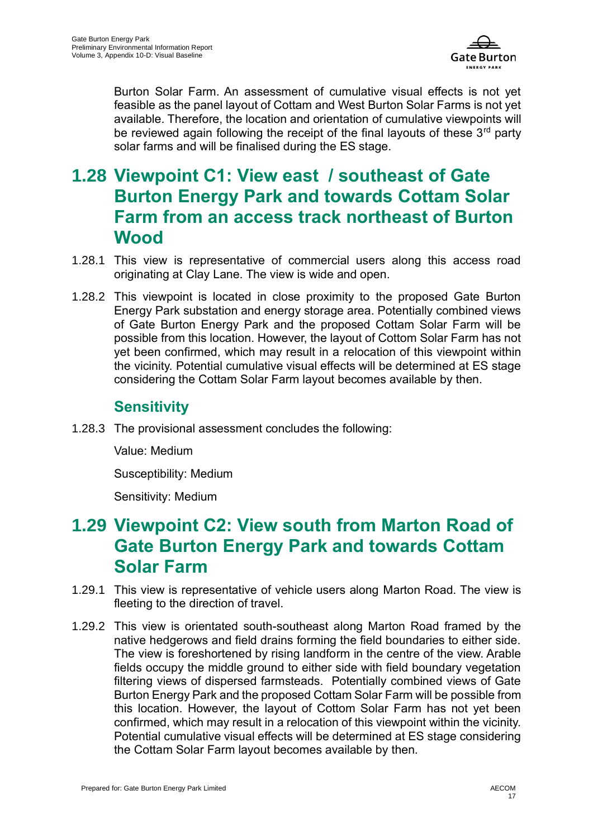

Burton Solar Farm. An assessment of cumulative visual effects is not yet feasible as the panel layout of Cottam and West Burton Solar Farms is not yet available. Therefore, the location and orientation of cumulative viewpoints will be reviewed again following the receipt of the final layouts of these  $3<sup>rd</sup>$  party solar farms and will be finalised during the ES stage.

# **1.28 Viewpoint C1: View east / southeast of Gate Burton Energy Park and towards Cottam Solar Farm from an access track northeast of Burton Wood**

- 1.28.1 This view is representative of commercial users along this access road originating at Clay Lane. The view is wide and open.
- 1.28.2 This viewpoint is located in close proximity to the proposed Gate Burton Energy Park substation and energy storage area. Potentially combined views of Gate Burton Energy Park and the proposed Cottam Solar Farm will be possible from this location. However, the layout of Cottom Solar Farm has not yet been confirmed, which may result in a relocation of this viewpoint within the vicinity. Potential cumulative visual effects will be determined at ES stage considering the Cottam Solar Farm layout becomes available by then.

#### **Sensitivity**

1.28.3 The provisional assessment concludes the following:

Value: Medium

Susceptibility: Medium

Sensitivity: Medium

### **1.29 Viewpoint C2: View south from Marton Road of Gate Burton Energy Park and towards Cottam Solar Farm**

- 1.29.1 This view is representative of vehicle users along Marton Road. The view is fleeting to the direction of travel.
- 1.29.2 This view is orientated south-southeast along Marton Road framed by the native hedgerows and field drains forming the field boundaries to either side. The view is foreshortened by rising landform in the centre of the view. Arable fields occupy the middle ground to either side with field boundary vegetation filtering views of dispersed farmsteads. Potentially combined views of Gate Burton Energy Park and the proposed Cottam Solar Farm will be possible from this location. However, the layout of Cottom Solar Farm has not yet been confirmed, which may result in a relocation of this viewpoint within the vicinity. Potential cumulative visual effects will be determined at ES stage considering the Cottam Solar Farm layout becomes available by then.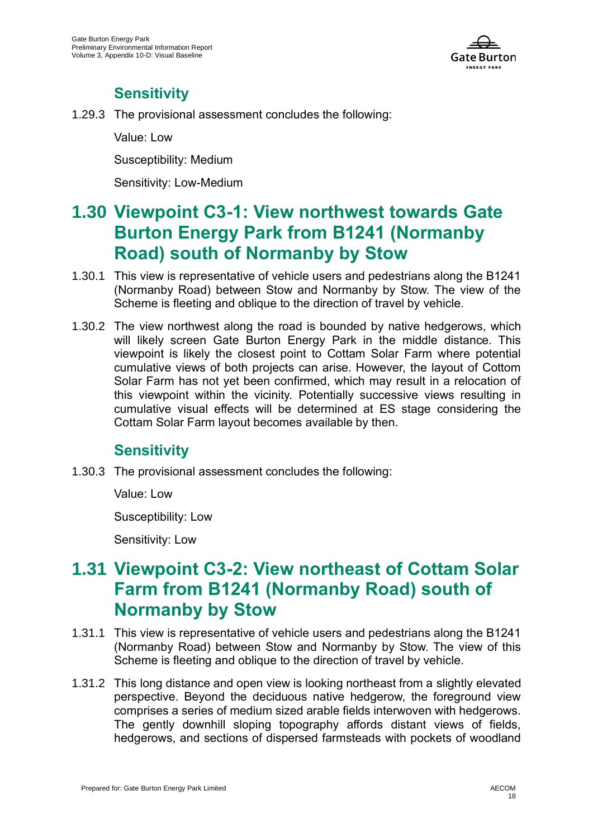

#### **Sensitivity**

1.29.3 The provisional assessment concludes the following:

Value: Low

Susceptibility: Medium

Sensitivity: Low-Medium

# **1.30 Viewpoint C3-1: View northwest towards Gate Burton Energy Park from B1241 (Normanby Road) south of Normanby by Stow**

- 1.30.1 This view is representative of vehicle users and pedestrians along the B1241 (Normanby Road) between Stow and Normanby by Stow. The view of the Scheme is fleeting and oblique to the direction of travel by vehicle.
- 1.30.2 The view northwest along the road is bounded by native hedgerows, which will likely screen Gate Burton Energy Park in the middle distance. This viewpoint is likely the closest point to Cottam Solar Farm where potential cumulative views of both projects can arise. However, the layout of Cottom Solar Farm has not yet been confirmed, which may result in a relocation of this viewpoint within the vicinity. Potentially successive views resulting in cumulative visual effects will be determined at ES stage considering the Cottam Solar Farm layout becomes available by then.

#### **Sensitivity**

1.30.3 The provisional assessment concludes the following:

Value: Low

Susceptibility: Low

Sensitivity: Low

## **1.31 Viewpoint C3-2: View northeast of Cottam Solar Farm from B1241 (Normanby Road) south of Normanby by Stow**

- 1.31.1 This view is representative of vehicle users and pedestrians along the B1241 (Normanby Road) between Stow and Normanby by Stow. The view of this Scheme is fleeting and oblique to the direction of travel by vehicle.
- 1.31.2 This long distance and open view is looking northeast from a slightly elevated perspective. Beyond the deciduous native hedgerow, the foreground view comprises a series of medium sized arable fields interwoven with hedgerows. The gently downhill sloping topography affords distant views of fields, hedgerows, and sections of dispersed farmsteads with pockets of woodland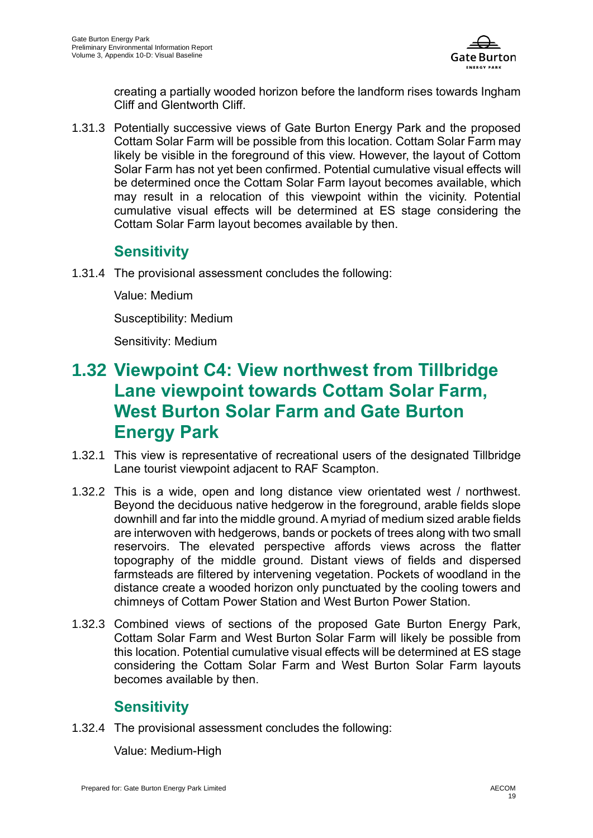

creating a partially wooded horizon before the landform rises towards Ingham Cliff and Glentworth Cliff.

1.31.3 Potentially successive views of Gate Burton Energy Park and the proposed Cottam Solar Farm will be possible from this location. Cottam Solar Farm may likely be visible in the foreground of this view. However, the layout of Cottom Solar Farm has not yet been confirmed. Potential cumulative visual effects will be determined once the Cottam Solar Farm layout becomes available, which may result in a relocation of this viewpoint within the vicinity. Potential cumulative visual effects will be determined at ES stage considering the Cottam Solar Farm layout becomes available by then.

#### **Sensitivity**

1.31.4 The provisional assessment concludes the following:

Value: Medium

Susceptibility: Medium

Sensitivity: Medium

# **1.32 Viewpoint C4: View northwest from Tillbridge Lane viewpoint towards Cottam Solar Farm, West Burton Solar Farm and Gate Burton Energy Park**

- 1.32.1 This view is representative of recreational users of the designated Tillbridge Lane tourist viewpoint adjacent to RAF Scampton.
- 1.32.2 This is a wide, open and long distance view orientated west / northwest. Beyond the deciduous native hedgerow in the foreground, arable fields slope downhill and far into the middle ground. A myriad of medium sized arable fields are interwoven with hedgerows, bands or pockets of trees along with two small reservoirs. The elevated perspective affords views across the flatter topography of the middle ground. Distant views of fields and dispersed farmsteads are filtered by intervening vegetation. Pockets of woodland in the distance create a wooded horizon only punctuated by the cooling towers and chimneys of Cottam Power Station and West Burton Power Station.
- 1.32.3 Combined views of sections of the proposed Gate Burton Energy Park, Cottam Solar Farm and West Burton Solar Farm will likely be possible from this location. Potential cumulative visual effects will be determined at ES stage considering the Cottam Solar Farm and West Burton Solar Farm layouts becomes available by then.

#### **Sensitivity**

1.32.4 The provisional assessment concludes the following:

Value: Medium-High